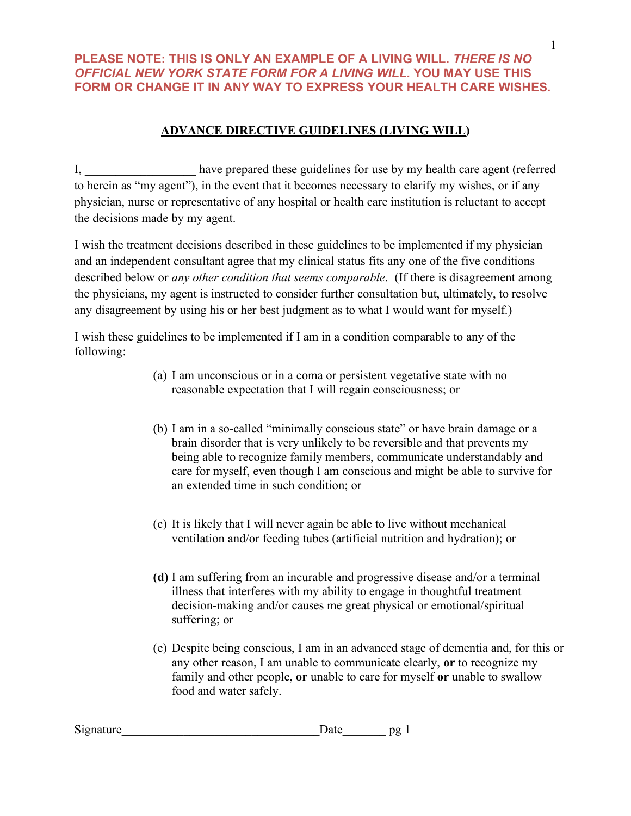# **ADVANCE DIRECTIVE GUIDELINES (LIVING WILL)**

I, **\_\_\_\_\_\_\_\_\_\_\_\_\_\_\_\_\_\_** have prepared these guidelines for use by my health care agent (referred to herein as "my agent"), in the event that it becomes necessary to clarify my wishes, or if any physician, nurse or representative of any hospital or health care institution is reluctant to accept the decisions made by my agent.

I wish the treatment decisions described in these guidelines to be implemented if my physician and an independent consultant agree that my clinical status fits any one of the five conditions described below or *any other condition that seems comparable*. (If there is disagreement among the physicians, my agent is instructed to consider further consultation but, ultimately, to resolve any disagreement by using his or her best judgment as to what I would want for myself.)

I wish these guidelines to be implemented if I am in a condition comparable to any of the following:

- (a) I am unconscious or in a coma or persistent vegetative state with no reasonable expectation that I will regain consciousness; or
- (b) I am in a so-called "minimally conscious state" or have brain damage or a brain disorder that is very unlikely to be reversible and that prevents my being able to recognize family members, communicate understandably and care for myself, even though I am conscious and might be able to survive for an extended time in such condition; or
- (c) It is likely that I will never again be able to live without mechanical ventilation and/or feeding tubes (artificial nutrition and hydration); or
- **(d)** I am suffering from an incurable and progressive disease and/or a terminal illness that interferes with my ability to engage in thoughtful treatment decision-making and/or causes me great physical or emotional/spiritual suffering; or
- (e) Despite being conscious, I am in an advanced stage of dementia and, for this or any other reason, I am unable to communicate clearly, **or** to recognize my family and other people, **or** unable to care for myself **or** unable to swallow food and water safely.

| Signature |  | $\rightarrow$ |
|-----------|--|---------------|
|-----------|--|---------------|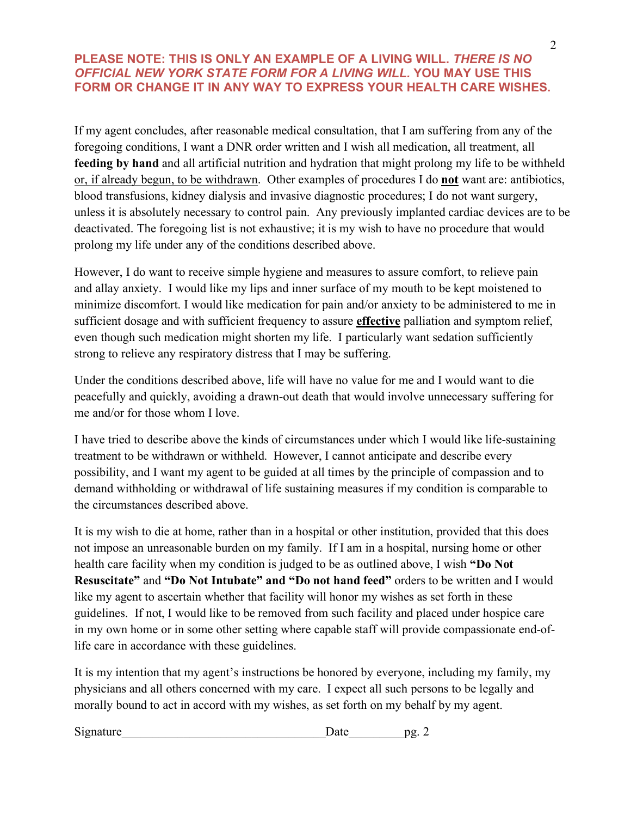If my agent concludes, after reasonable medical consultation, that I am suffering from any of the foregoing conditions, I want a DNR order written and I wish all medication, all treatment, all **feeding by hand** and all artificial nutrition and hydration that might prolong my life to be withheld or, if already begun, to be withdrawn. Other examples of procedures I do **not** want are: antibiotics, blood transfusions, kidney dialysis and invasive diagnostic procedures; I do not want surgery, unless it is absolutely necessary to control pain. Any previously implanted cardiac devices are to be deactivated. The foregoing list is not exhaustive; it is my wish to have no procedure that would prolong my life under any of the conditions described above.

However, I do want to receive simple hygiene and measures to assure comfort, to relieve pain and allay anxiety. I would like my lips and inner surface of my mouth to be kept moistened to minimize discomfort. I would like medication for pain and/or anxiety to be administered to me in sufficient dosage and with sufficient frequency to assure **effective** palliation and symptom relief, even though such medication might shorten my life. I particularly want sedation sufficiently strong to relieve any respiratory distress that I may be suffering.

Under the conditions described above, life will have no value for me and I would want to die peacefully and quickly, avoiding a drawn-out death that would involve unnecessary suffering for me and/or for those whom I love.

I have tried to describe above the kinds of circumstances under which I would like life-sustaining treatment to be withdrawn or withheld. However, I cannot anticipate and describe every possibility, and I want my agent to be guided at all times by the principle of compassion and to demand withholding or withdrawal of life sustaining measures if my condition is comparable to the circumstances described above.

It is my wish to die at home, rather than in a hospital or other institution, provided that this does not impose an unreasonable burden on my family. If I am in a hospital, nursing home or other health care facility when my condition is judged to be as outlined above, I wish **"Do Not Resuscitate"** and **"Do Not Intubate" and "Do not hand feed"** orders to be written and I would like my agent to ascertain whether that facility will honor my wishes as set forth in these guidelines. If not, I would like to be removed from such facility and placed under hospice care in my own home or in some other setting where capable staff will provide compassionate end-oflife care in accordance with these guidelines.

It is my intention that my agent's instructions be honored by everyone, including my family, my physicians and all others concerned with my care. I expect all such persons to be legally and morally bound to act in accord with my wishes, as set forth on my behalf by my agent.

| Signature | $-1$<br>∙atc | nσ |
|-----------|--------------|----|
|           |              |    |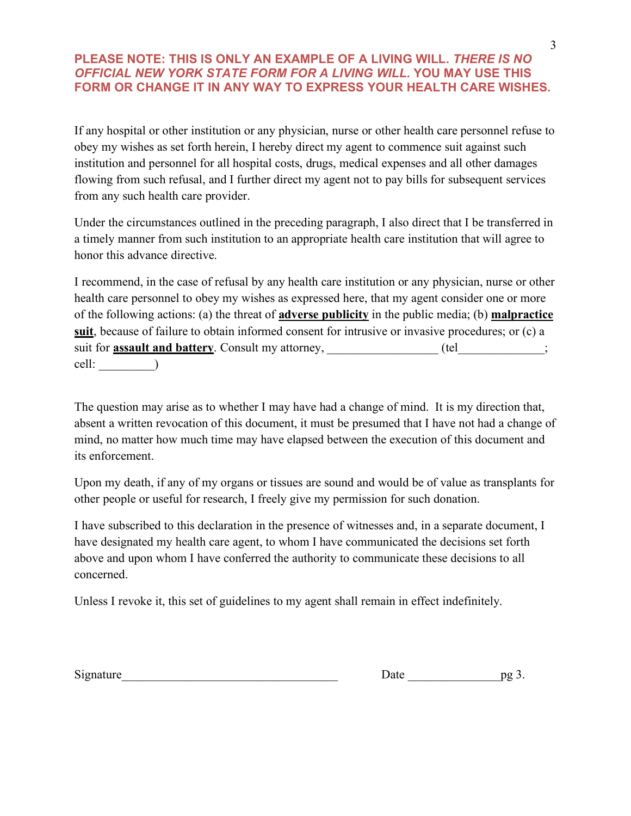If any hospital or other institution or any physician, nurse or other health care personnel refuse to obey my wishes as set forth herein, I hereby direct my agent to commence suit against such institution and personnel for all hospital costs, drugs, medical expenses and all other damages flowing from such refusal, and I further direct my agent not to pay bills for subsequent services from any such health care provider.

Under the circumstances outlined in the preceding paragraph, I also direct that I be transferred in a timely manner from such institution to an appropriate health care institution that will agree to honor this advance directive.

I recommend, in the case of refusal by any health care institution or any physician, nurse or other health care personnel to obey my wishes as expressed here, that my agent consider one or more of the following actions: (a) the threat of **adverse publicity** in the public media; (b) **malpractice suit**, because of failure to obtain informed consent for intrusive or invasive procedures; or (c) a suit for **assault and battery**. Consult my attorney, \_\_\_\_\_\_\_\_\_\_\_\_\_\_\_\_\_\_\_\_\_\_\_\_\_\_\_\_; cell: \_\_\_\_\_\_\_\_\_)

The question may arise as to whether I may have had a change of mind. It is my direction that, absent a written revocation of this document, it must be presumed that I have not had a change of mind, no matter how much time may have elapsed between the execution of this document and its enforcement.

Upon my death, if any of my organs or tissues are sound and would be of value as transplants for other people or useful for research, I freely give my permission for such donation.

I have subscribed to this declaration in the presence of witnesses and, in a separate document, I have designated my health care agent, to whom I have communicated the decisions set forth above and upon whom I have conferred the authority to communicate these decisions to all concerned.

Unless I revoke it, this set of guidelines to my agent shall remain in effect indefinitely.

| $\sim$<br>Signature | .<br>Jalt | nø |
|---------------------|-----------|----|
|---------------------|-----------|----|